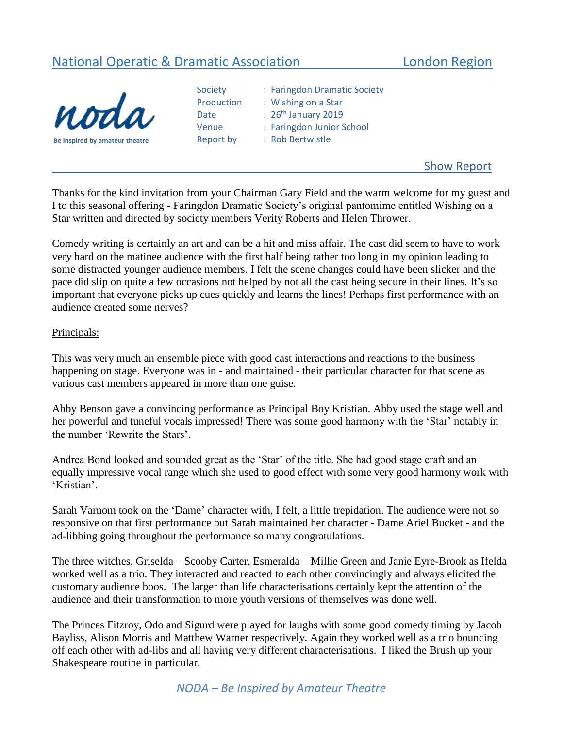# National Operatic & Dramatic Association **London Region**



| Be inspired by amateur theatre |
|--------------------------------|

| Society    | : Fari      |
|------------|-------------|
| Production | : Wis       |
| Date       | $: 26^{th}$ |
| Venue      | : Fari      |
| Report by  | : Roł       |
|            |             |

ingdon Dramatic Society shing on a Star <sup>h</sup> January 2019 ingdon Junior School **Bertwistle** 

# Show Report

Thanks for the kind invitation from your Chairman Gary Field and the warm welcome for my guest and I to this seasonal offering - Faringdon Dramatic Society's original pantomime entitled Wishing on a Star written and directed by society members Verity Roberts and Helen Thrower.

Comedy writing is certainly an art and can be a hit and miss affair. The cast did seem to have to work very hard on the matinee audience with the first half being rather too long in my opinion leading to some distracted younger audience members. I felt the scene changes could have been slicker and the pace did slip on quite a few occasions not helped by not all the cast being secure in their lines. It's so important that everyone picks up cues quickly and learns the lines! Perhaps first performance with an audience created some nerves?

#### Principals:

This was very much an ensemble piece with good cast interactions and reactions to the business happening on stage. Everyone was in - and maintained - their particular character for that scene as various cast members appeared in more than one guise.

Abby Benson gave a convincing performance as Principal Boy Kristian. Abby used the stage well and her powerful and tuneful vocals impressed! There was some good harmony with the 'Star' notably in the number 'Rewrite the Stars'.

Andrea Bond looked and sounded great as the 'Star' of the title. She had good stage craft and an equally impressive vocal range which she used to good effect with some very good harmony work with 'Kristian'.

Sarah Varnom took on the 'Dame' character with, I felt, a little trepidation. The audience were not so responsive on that first performance but Sarah maintained her character - Dame Ariel Bucket - and the ad-libbing going throughout the performance so many congratulations.

The three witches, Griselda – Scooby Carter, Esmeralda – Millie Green and Janie Eyre-Brook as Ifelda worked well as a trio. They interacted and reacted to each other convincingly and always elicited the customary audience boos. The larger than life characterisations certainly kept the attention of the audience and their transformation to more youth versions of themselves was done well.

The Princes Fitzroy, Odo and Sigurd were played for laughs with some good comedy timing by Jacob Bayliss, Alison Morris and Matthew Warner respectively. Again they worked well as a trio bouncing off each other with ad-libs and all having very different characterisations. I liked the Brush up your Shakespeare routine in particular.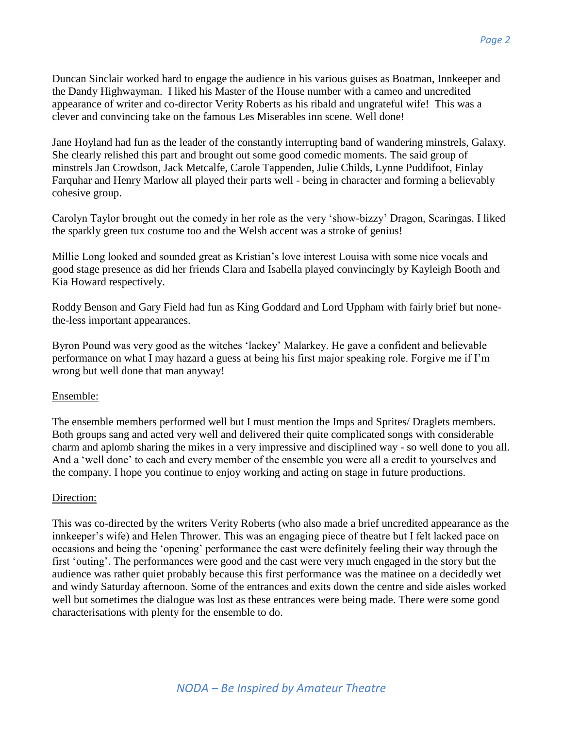Duncan Sinclair worked hard to engage the audience in his various guises as Boatman, Innkeeper and the Dandy Highwayman. I liked his Master of the House number with a cameo and uncredited appearance of writer and co-director Verity Roberts as his ribald and ungrateful wife! This was a clever and convincing take on the famous Les Miserables inn scene. Well done!

Jane Hoyland had fun as the leader of the constantly interrupting band of wandering minstrels, Galaxy. She clearly relished this part and brought out some good comedic moments. The said group of minstrels Jan Crowdson, Jack Metcalfe, Carole Tappenden, Julie Childs, Lynne Puddifoot, Finlay Farquhar and Henry Marlow all played their parts well - being in character and forming a believably cohesive group.

Carolyn Taylor brought out the comedy in her role as the very 'show-bizzy' Dragon, Scaringas. I liked the sparkly green tux costume too and the Welsh accent was a stroke of genius!

Millie Long looked and sounded great as Kristian's love interest Louisa with some nice vocals and good stage presence as did her friends Clara and Isabella played convincingly by Kayleigh Booth and Kia Howard respectively.

Roddy Benson and Gary Field had fun as King Goddard and Lord Uppham with fairly brief but nonethe-less important appearances.

Byron Pound was very good as the witches 'lackey' Malarkey. He gave a confident and believable performance on what I may hazard a guess at being his first major speaking role. Forgive me if I'm wrong but well done that man anyway!

# Ensemble:

The ensemble members performed well but I must mention the Imps and Sprites/ Draglets members. Both groups sang and acted very well and delivered their quite complicated songs with considerable charm and aplomb sharing the mikes in a very impressive and disciplined way - so well done to you all. And a 'well done' to each and every member of the ensemble you were all a credit to yourselves and the company. I hope you continue to enjoy working and acting on stage in future productions.

# Direction:

This was co-directed by the writers Verity Roberts (who also made a brief uncredited appearance as the innkeeper's wife) and Helen Thrower. This was an engaging piece of theatre but I felt lacked pace on occasions and being the 'opening' performance the cast were definitely feeling their way through the first 'outing'. The performances were good and the cast were very much engaged in the story but the audience was rather quiet probably because this first performance was the matinee on a decidedly wet and windy Saturday afternoon. Some of the entrances and exits down the centre and side aisles worked well but sometimes the dialogue was lost as these entrances were being made. There were some good characterisations with plenty for the ensemble to do.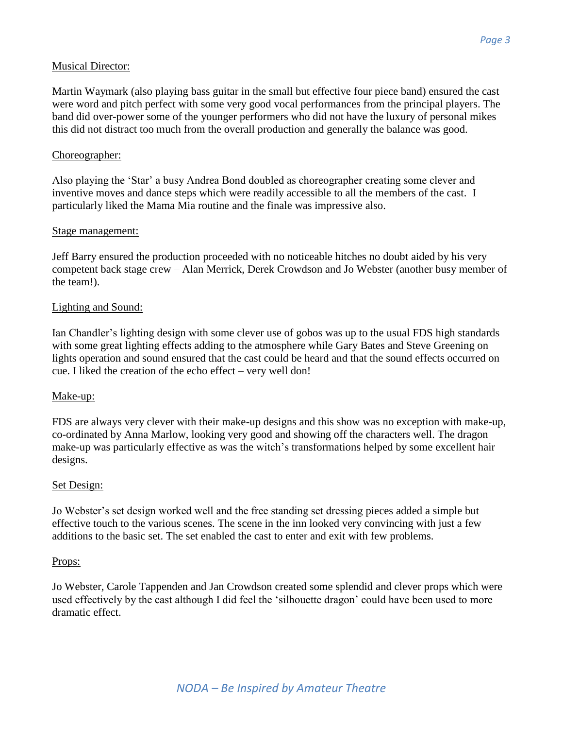# Musical Director:

Martin Waymark (also playing bass guitar in the small but effective four piece band) ensured the cast were word and pitch perfect with some very good vocal performances from the principal players. The band did over-power some of the younger performers who did not have the luxury of personal mikes this did not distract too much from the overall production and generally the balance was good.

## Choreographer:

Also playing the 'Star' a busy Andrea Bond doubled as choreographer creating some clever and inventive moves and dance steps which were readily accessible to all the members of the cast. I particularly liked the Mama Mia routine and the finale was impressive also.

#### Stage management:

Jeff Barry ensured the production proceeded with no noticeable hitches no doubt aided by his very competent back stage crew – Alan Merrick, Derek Crowdson and Jo Webster (another busy member of the team!).

#### Lighting and Sound:

Ian Chandler's lighting design with some clever use of gobos was up to the usual FDS high standards with some great lighting effects adding to the atmosphere while Gary Bates and Steve Greening on lights operation and sound ensured that the cast could be heard and that the sound effects occurred on cue. I liked the creation of the echo effect – very well don!

# Make-up:

FDS are always very clever with their make-up designs and this show was no exception with make-up, co-ordinated by Anna Marlow, looking very good and showing off the characters well. The dragon make-up was particularly effective as was the witch's transformations helped by some excellent hair designs.

#### Set Design:

Jo Webster's set design worked well and the free standing set dressing pieces added a simple but effective touch to the various scenes. The scene in the inn looked very convincing with just a few additions to the basic set. The set enabled the cast to enter and exit with few problems.

#### Props:

Jo Webster, Carole Tappenden and Jan Crowdson created some splendid and clever props which were used effectively by the cast although I did feel the 'silhouette dragon' could have been used to more dramatic effect.